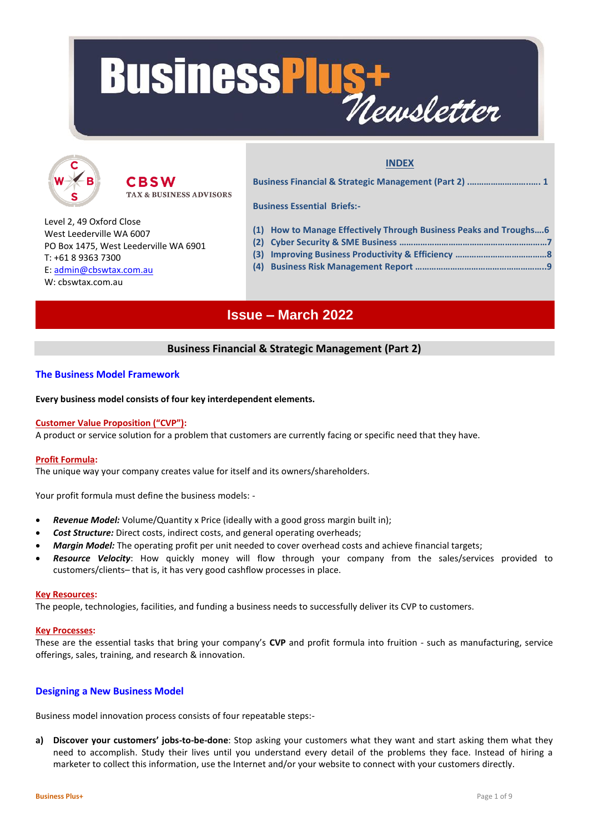



CBSW **TAX & BUSINESS ADVISORS**  **INDEX**

**Business Financial & Strategic Management (Part 2) .……………………..…. 1 Business Essential Briefs:-**

- Level 2, 49 Oxford Close West Leederville WA 6007 PO Box 1475, West Leederville WA 6901 T: +61 8 9363 7300 E: [admin@cbswtax.com.au](mailto:admin@cbswtax.com.au) W: cbswtax.com.au
- **(1) How to Manage Effectively Through Business Peaks and Troughs….6**
- **(2) Cyber Security & SME Business ………………………………………………………7**
- **(3) Improving Business Productivity & Efficiency …………………………………8**
- **(4) Business Risk Management Report ………………………………………………..9**

## **Issue – March 2022**

## **Business Financial & Strategic Management (Part 2)**

## **The Business Model Framework**

## **Every business model consists of four key interdependent elements.**

## **Customer Value Proposition ("CVP"):**

A product or service solution for a problem that customers are currently facing or specific need that they have.

## **Profit Formula:**

The unique way your company creates value for itself and its owners/shareholders.

Your profit formula must define the business models: -

- **Revenue Model:** Volume/Quantity x Price (ideally with a good gross margin built in);
- *Cost Structure:* Direct costs, indirect costs, and general operating overheads;
- *Margin Model:* The operating profit per unit needed to cover overhead costs and achieve financial targets;
- *Resource Velocity*: How quickly money will flow through your company from the sales/services provided to customers/clients– that is, it has very good cashflow processes in place.

#### **Key Resources:**

The people, technologies, facilities, and funding a business needs to successfully deliver its CVP to customers.

#### **Key Processes:**

These are the essential tasks that bring your company's **CVP** and profit formula into fruition - such as manufacturing, service offerings, sales, training, and research & innovation.

## **Designing a New Business Model**

Business model innovation process consists of four repeatable steps:-

**a) Discover your customers' jobs-to-be-done**: Stop asking your customers what they want and start asking them what they need to accomplish. Study their lives until you understand every detail of the problems they face. Instead of hiring a marketer to collect this information, use the Internet and/or your website to connect with your customers directly.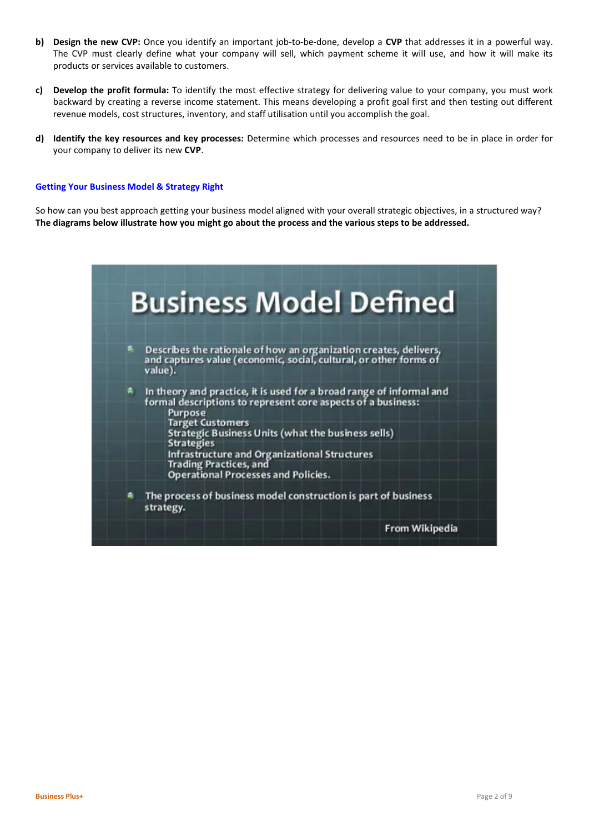- **b) Design the new CVP:** Once you identify an important job-to-be-done, develop a **CVP** that addresses it in a powerful way. The CVP must clearly define what your company will sell, which payment scheme it will use, and how it will make its products or services available to customers.
- **c) Develop the profit formula:** To identify the most effective strategy for delivering value to your company, you must work backward by creating a reverse income statement. This means developing a profit goal first and then testing out different revenue models, cost structures, inventory, and staff utilisation until you accomplish the goal.
- **d) Identify the key resources and key processes:** Determine which processes and resources need to be in place in order for your company to deliver its new **CVP**.

#### **Getting Your Business Model & Strategy Right**

So how can you best approach getting your business model aligned with your overall strategic objectives, in a structured way? **The diagrams below illustrate how you might go about the process and the various steps to be addressed.**

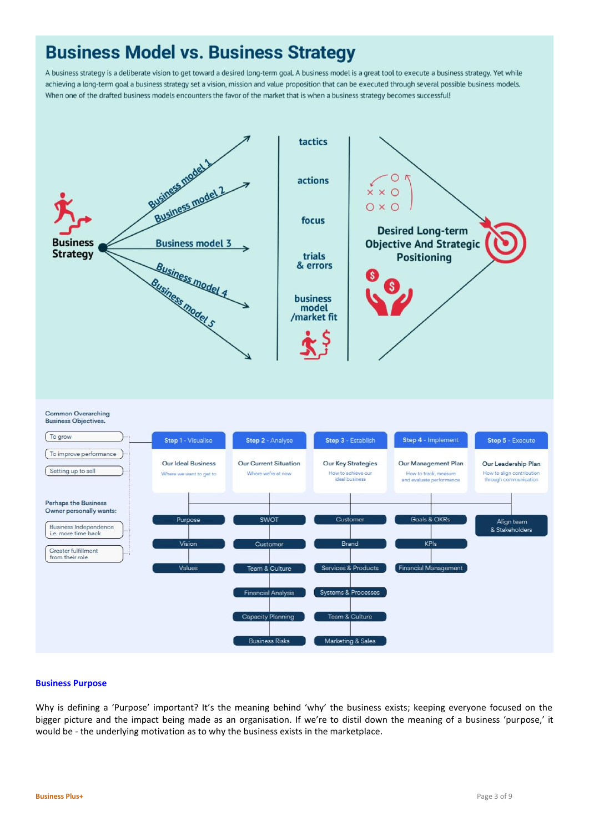## **Business Model vs. Business Strategy**

A business strategy is a deliberate vision to get toward a desired long-term goal. A business model is a great tool to execute a business strategy. Yet while achieving a long-term goal a business strategy set a vision, mission and value proposition that can be executed through several possible business models. When one of the drafted business models encounters the favor of the market that is when a business strategy becomes successful!

![](_page_2_Figure_2.jpeg)

**Common Overarching** 

![](_page_2_Figure_4.jpeg)

## **Business Purpose**

Why is defining a 'Purpose' important? It's the meaning behind 'why' the business exists; keeping everyone focused on the bigger picture and the impact being made as an organisation. If we're to distil down the meaning of a business 'purpose,' it would be - the underlying motivation as to why the business exists in the marketplace.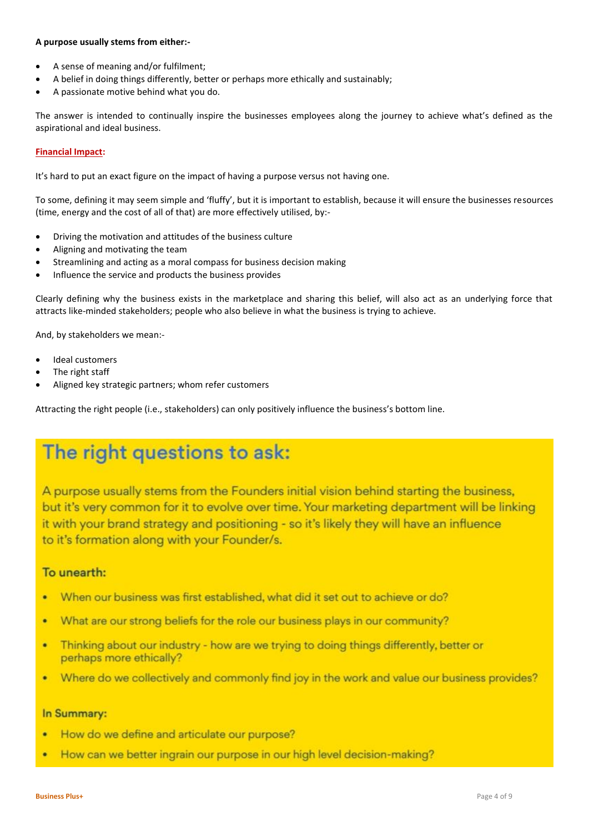#### **A purpose usually stems from either:-**

- A sense of meaning and/or fulfilment;
- A belief in doing things differently, better or perhaps more ethically and sustainably;
- A passionate motive behind what you do.

The answer is intended to continually inspire the businesses employees along the journey to achieve what's defined as the aspirational and ideal business.

#### **Financial Impact:**

It's hard to put an exact figure on the impact of having a purpose versus not having one.

To some, defining it may seem simple and 'fluffy', but it is important to establish, because it will ensure the businesses resources (time, energy and the cost of all of that) are more effectively utilised, by:-

- Driving the motivation and attitudes of the business culture
- Aligning and motivating the team
- Streamlining and acting as a moral compass for business decision making
- Influence the service and products the business provides

Clearly defining why the business exists in the marketplace and sharing this belief, will also act as an underlying force that attracts like-minded stakeholders; people who also believe in what the business is trying to achieve.

And, by stakeholders we mean:-

- Ideal customers
- The right staff
- Aligned key strategic partners; whom refer customers

Attracting the right people (i.e., stakeholders) can only positively influence the business's bottom line.

## The right questions to ask:

A purpose usually stems from the Founders initial vision behind starting the business, but it's very common for it to evolve over time. Your marketing department will be linking it with your brand strategy and positioning - so it's likely they will have an influence to it's formation along with your Founder/s.

## To unearth:

- When our business was first established, what did it set out to achieve or do? ×
- What are our strong beliefs for the role our business plays in our community? ٠
- Thinking about our industry how are we trying to doing things differently, better or × perhaps more ethically?
- Where do we collectively and commonly find joy in the work and value our business provides? ٠

## In Summary:

- How do we define and articulate our purpose? ٠
- How can we better ingrain our purpose in our high level decision-making? ×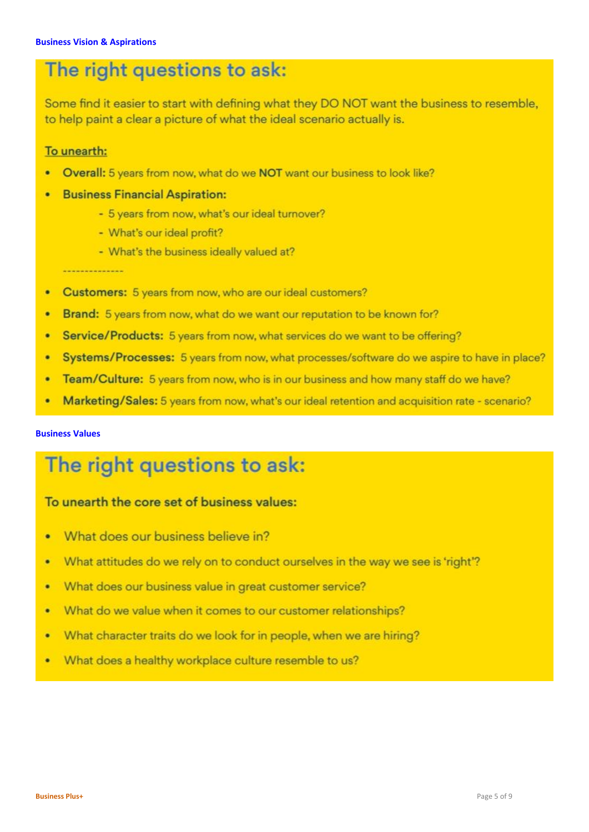## The right questions to ask:

Some find it easier to start with defining what they DO NOT want the business to resemble, to help paint a clear a picture of what the ideal scenario actually is.

## To unearth:

- Overall: 5 years from now, what do we NOT want our business to look like?  $\overline{\phantom{a}}$
- **Business Financial Aspiration:** 
	- 5 years from now, what's our ideal turnover?
	- What's our ideal profit?
	- What's the business ideally valued at?

- $\bullet$ Customers: 5 years from now, who are our ideal customers?
- Brand: 5 years from now, what do we want our reputation to be known for? ٠
- Service/Products: 5 years from now, what services do we want to be offering? ٠
- Systems/Processes: 5 years from now, what processes/software do we aspire to have in place? ٠
- Team/Culture: 5 years from now, who is in our business and how many staff do we have? ٠
- Marketing/Sales: 5 years from now, what's our ideal retention and acquisition rate scenario?

## **Business Values**

# The right questions to ask:

## To unearth the core set of business values:

- What does our business believe in?  $\bullet$
- What attitudes do we rely on to conduct ourselves in the way we see is 'right'? ٠
- What does our business value in great customer service? ٠
- What do we value when it comes to our customer relationships? ٠
- What character traits do we look for in people, when we are hiring? ٠
- What does a healthy workplace culture resemble to us? ٠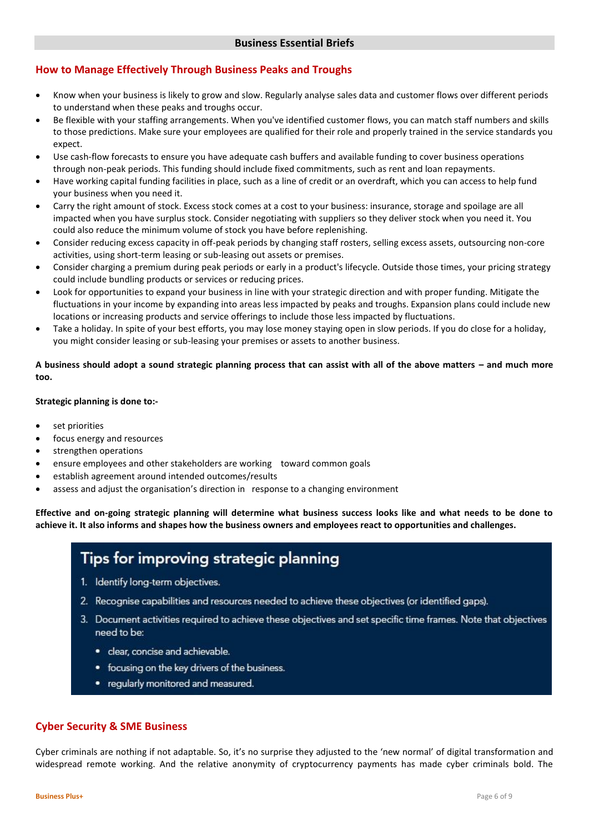## **How to Manage Effectively Through Business Peaks and Troughs**

- Know when your business is likely to grow and slow. Regularly analyse sales data and customer flows over different periods to understand when these peaks and troughs occur.
- Be flexible with your staffing arrangements. When you've identified customer flows, you can match staff numbers and skills to those predictions. Make sure your employees are qualified for their role and properly trained in the service standards you expect.
- Use cash-flow forecasts to ensure you have adequate cash buffers and available funding to cover business operations through non-peak periods. This funding should include fixed commitments, such as rent and loan repayments.
- Have working capital funding facilities in place, such as a line of credit or an overdraft, which you can access to help fund your business when you need it.
- Carry the right amount of stock. Excess stock comes at a cost to your business: insurance, storage and spoilage are all impacted when you have surplus stock. Consider negotiating with suppliers so they deliver stock when you need it. You could also reduce the minimum volume of stock you have before replenishing.
- Consider reducing excess capacity in off-peak periods by changing staff rosters, selling excess assets, outsourcing non-core activities, using short-term leasing or sub-leasing out assets or premises.
- Consider charging a premium during peak periods or early in a product's lifecycle. Outside those times, your pricing strategy could include bundling products or services or reducing prices.
- Look for opportunities to expand your business in line with your strategic direction and with proper funding. Mitigate the fluctuations in your income by expanding into areas less impacted by peaks and troughs. Expansion plans could include new locations or increasing products and service offerings to include those less impacted by fluctuations.
- Take a holiday. In spite of your best efforts, you may lose money staying open in slow periods. If you do close for a holiday, you might consider leasing or sub-leasing your premises or assets to another business.

## **A business should adopt a sound strategic planning process that can assist with all of the above matters – and much more too.**

## **Strategic planning is done to:-**

- set priorities
- focus energy and resources
- strengthen operations
- ensure employees and other stakeholders are working toward common goals
- establish agreement around intended outcomes/results
- assess and adjust the organisation's direction in response to a changing environment

**Effective and on-going strategic planning will determine what business success looks like and what needs to be done to achieve it. It also informs and shapes how the business owners and employees react to opportunities and challenges.**

## Tips for improving strategic planning

- 1. Identify long-term objectives.
- 2. Recognise capabilities and resources needed to achieve these objectives (or identified gaps).
- 3. Document activities required to achieve these objectives and set specific time frames. Note that objectives need to be:
	- clear, concise and achievable.
	- focusing on the key drivers of the business.
	- regularly monitored and measured.

## **Cyber Security & SME Business**

Cyber criminals are nothing if not adaptable. So, it's no surprise they adjusted to the 'new normal' of digital transformation and widespread remote working. And the relative anonymity of cryptocurrency payments has made cyber criminals bold. The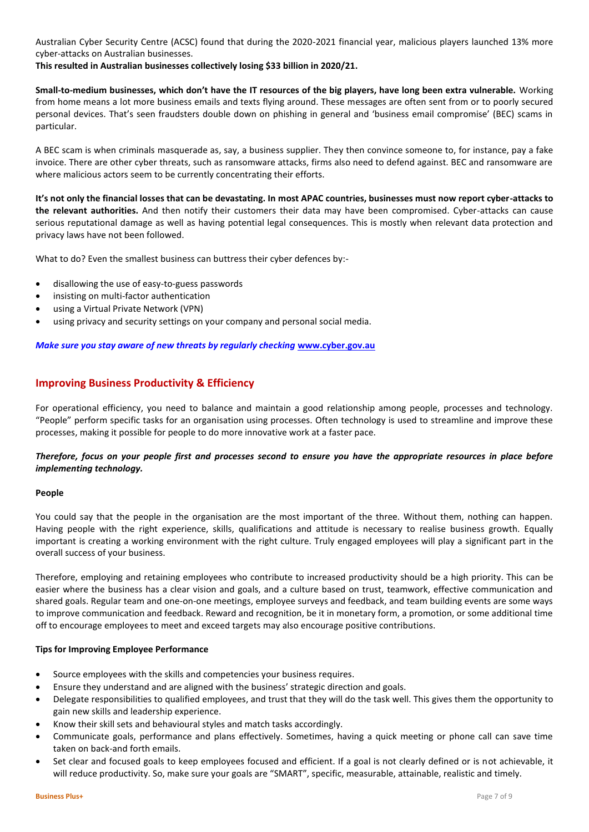Australian Cyber Security Centre (ACSC) found that during the 2020-2021 financial year, malicious players launched 13% more cyber-attacks on Australian businesses.

**This resulted in Australian businesses collectively losing \$33 billion in 2020/21.**

**Small-to-medium businesses, which don't have the IT resources of the big players, have long been extra vulnerable.** Working from home means a lot more business emails and texts flying around. These messages are often sent from or to poorly secured personal devices. That's seen fraudsters double down on phishing in general and 'business email compromise' (BEC) scams in particular.

A BEC scam is when criminals masquerade as, say, a business supplier. They then convince someone to, for instance, pay a fake invoice. There are other cyber threats, such as ransomware attacks, firms also need to defend against. BEC and ransomware are where malicious actors seem to be currently concentrating their efforts.

**It's not only the financial losses that can be devastating. In most APAC countries, businesses must now report cyber-attacks to the relevant authorities.** And then notify their customers their data may have been compromised. Cyber-attacks can cause serious reputational damage as well as having potential legal consequences. This is mostly when relevant data protection and privacy laws have not been followed.

What to do? Even the smallest business can buttress their cyber defences by:-

- disallowing the use of easy-to-guess passwords
- insisting on multi-factor authentication
- using a Virtual Private Network (VPN)
- using privacy and security settings on your company and personal social media.

*Make sure you stay aware of new threats by regularly checking* **[www.cyber.gov.au](http://www.cyber.gov.au/)**

## **Improving Business Productivity & Efficiency**

For operational efficiency, you need to balance and maintain a good relationship among people, processes and technology. "People" perform specific tasks for an organisation using processes. Often technology is used to streamline and improve these processes, making it possible for people to do more innovative work at a faster pace.

## *Therefore, focus on your people first and processes second to ensure you have the appropriate resources in place before implementing technology.*

#### **People**

You could say that the people in the organisation are the most important of the three. Without them, nothing can happen. Having people with the right experience, skills, qualifications and attitude is necessary to realise business growth. Equally important is creating a working environment with the right culture. Truly engaged employees will play a significant part in the overall success of your business.

Therefore, employing and retaining employees who contribute to increased productivity should be a high priority. This can be easier where the business has a clear vision and goals, and a culture based on trust, teamwork, effective communication and shared goals. Regular team and one-on-one meetings, employee surveys and feedback, and team building events are some ways to improve communication and feedback. Reward and recognition, be it in monetary form, a promotion, or some additional time off to encourage employees to meet and exceed targets may also encourage positive contributions.

#### **Tips for Improving Employee Performance**

- Source employees with the skills and competencies your business requires.
- Ensure they understand and are aligned with the business' strategic direction and goals.
- Delegate responsibilities to qualified employees, and trust that they will do the task well. This gives them the opportunity to gain new skills and leadership experience.
- Know their skill sets and behavioural styles and match tasks accordingly.
- Communicate goals, performance and plans effectively. Sometimes, having a quick meeting or phone call can save time taken on back-and forth emails.
- Set clear and focused goals to keep employees focused and efficient. If a goal is not clearly defined or is not achievable, it will reduce productivity. So, make sure your goals are "SMART", specific, measurable, attainable, realistic and timely.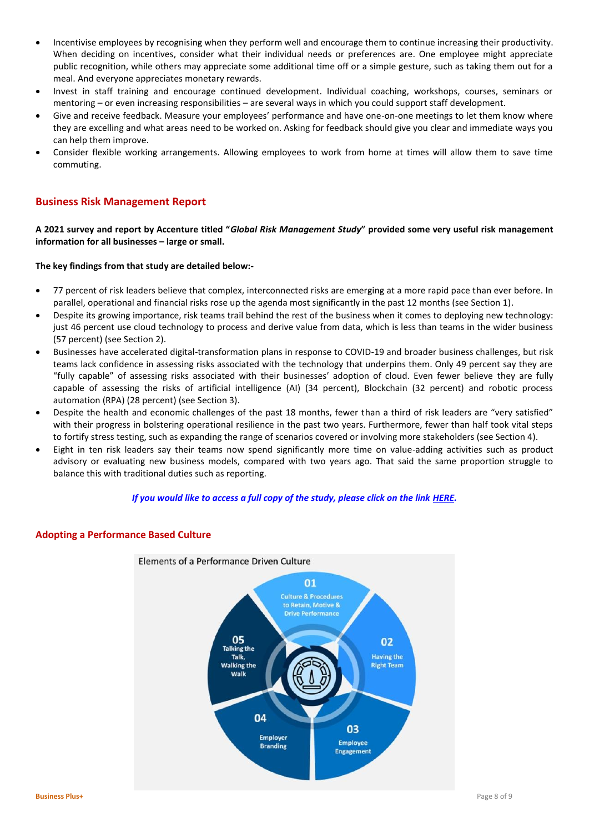- Incentivise employees by recognising when they perform well and encourage them to continue increasing their productivity. When deciding on incentives, consider what their individual needs or preferences are. One employee might appreciate public recognition, while others may appreciate some additional time off or a simple gesture, such as taking them out for a meal. And everyone appreciates monetary rewards.
- Invest in staff training and encourage continued development. Individual coaching, workshops, courses, seminars or mentoring – or even increasing responsibilities – are several ways in which you could support staff development.
- Give and receive feedback. Measure your employees' performance and have one-on-one meetings to let them know where they are excelling and what areas need to be worked on. Asking for feedback should give you clear and immediate ways you can help them improve.
- Consider flexible working arrangements. Allowing employees to work from home at times will allow them to save time commuting.

## **Business Risk Management Report**

**A 2021 survey and report by Accenture titled "***Global Risk Management Study***" provided some very useful risk management information for all businesses – large or small.** 

#### **The key findings from that study are detailed below:-**

- 77 percent of risk leaders believe that complex, interconnected risks are emerging at a more rapid pace than ever before. In parallel, operational and financial risks rose up the agenda most significantly in the past 12 months (see Section 1).
- Despite its growing importance, risk teams trail behind the rest of the business when it comes to deploying new technology: just 46 percent use cloud technology to process and derive value from data, which is less than teams in the wider business (57 percent) (see Section 2).
- Businesses have accelerated digital-transformation plans in response to COVID-19 and broader business challenges, but risk teams lack confidence in assessing risks associated with the technology that underpins them. Only 49 percent say they are "fully capable" of assessing risks associated with their businesses' adoption of cloud. Even fewer believe they are fully capable of assessing the risks of artificial intelligence (AI) (34 percent), Blockchain (32 percent) and robotic process automation (RPA) (28 percent) (see Section 3).
- Despite the health and economic challenges of the past 18 months, fewer than a third of risk leaders are "very satisfied" with their progress in bolstering operational resilience in the past two years. Furthermore, fewer than half took vital steps to fortify stress testing, such as expanding the range of scenarios covered or involving more stakeholders (see Section 4).
- Eight in ten risk leaders say their teams now spend significantly more time on value-adding activities such as product advisory or evaluating new business models, compared with two years ago. That said the same proportion struggle to balance this with traditional duties such as reporting.

## *If you would like to access a full copy of the study, please click on the link [HERE.](https://cbswtax.com.au/wp-content/uploads/2022/03/Accenture-2021-Global-Risk-Management-Study2.pdf)*

![](_page_7_Figure_13.jpeg)

## **Adopting a Performance Based Culture**